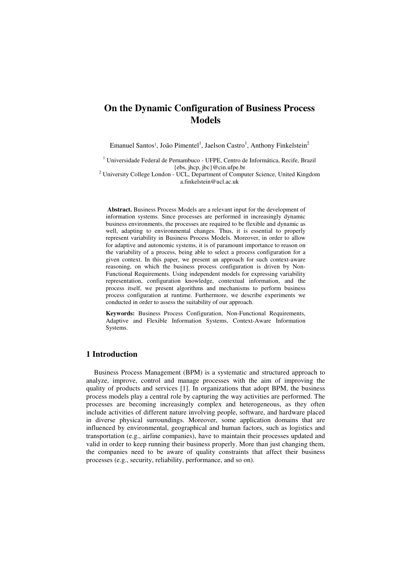# **On the Dynamic Configuration of Business Process Models**

Emanuel Santos<sup>1</sup>, João Pimentel<sup>1</sup>, Jaelson Castro<sup>1</sup>, Anthony Finkelstein<sup>2</sup>

<sup>1</sup> Universidade Federal de Pernambuco - UFPE, Centro de Informática, Recife, Brazil {ebs, jhcp, jbc}@cin.ufpe.br

<sup>2</sup> University College London - UCL, Department of Computer Science, United Kingdom a.finkelstein@ucl.ac.uk

 **Abstract.** Business Process Models are a relevant input for the development of information systems. Since processes are performed in increasingly dynamic business environments, the processes are required to be flexible and dynamic as well, adapting to environmental changes. Thus, it is essential to properly represent variability in Business Process Models. Moreover, in order to allow for adaptive and autonomic systems, it is of paramount importance to reason on the variability of a process, being able to select a process configuration for a given context. In this paper, we present an approach for such context-aware reasoning, on which the business process configuration is driven by Non-Functional Requirements. Using independent models for expressing variability representation, configuration knowledge, contextual information, and the process itself, we present algorithms and mechanisms to perform business process configuration at runtime. Furthermore, we describe experiments we conducted in order to assess the suitability of our approach.

**Keywords:** Business Process Configuration, Non-Functional Requirements, Adaptive and Flexible Information Systems, Context-Aware Information Systems.

### **1 Introduction**

Business Process Management (BPM) is a systematic and structured approach to analyze, improve, control and manage processes with the aim of improving the quality of products and services [1]. In organizations that adopt BPM, the business process models play a central role by capturing the way activities are performed. The processes are becoming increasingly complex and heterogeneous, as they often include activities of different nature involving people, software, and hardware placed in diverse physical surroundings. Moreover, some application domains that are influenced by environmental, geographical and human factors, such as logistics and transportation (e.g., airline companies), have to maintain their processes updated and valid in order to keep running their business properly. More than just changing them, the companies need to be aware of quality constraints that affect their business processes (e.g., security, reliability, performance, and so on).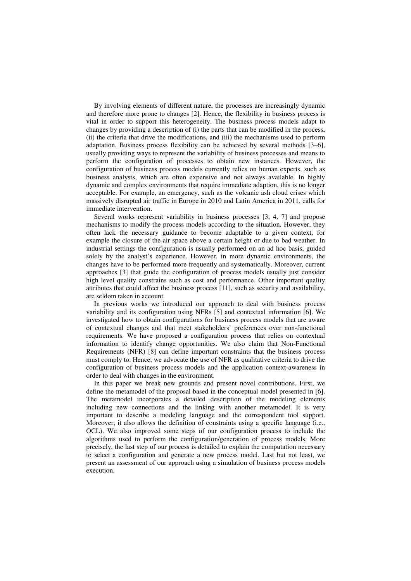By involving elements of different nature, the processes are increasingly dynamic and therefore more prone to changes [2]. Hence, the flexibility in business process is vital in order to support this heterogeneity. The business process models adapt to changes by providing a description of (i) the parts that can be modified in the process, (ii) the criteria that drive the modifications, and (iii) the mechanisms used to perform adaptation. Business process flexibility can be achieved by several methods [3–6], usually providing ways to represent the variability of business processes and means to perform the configuration of processes to obtain new instances. However, the configuration of business process models currently relies on human experts, such as business analysts, which are often expensive and not always available. In highly dynamic and complex environments that require immediate adaption, this is no longer acceptable. For example, an emergency, such as the volcanic ash cloud crises which massively disrupted air traffic in Europe in 2010 and Latin America in 2011, calls for immediate intervention.

Several works represent variability in business processes [3, 4, 7] and propose mechanisms to modify the process models according to the situation. However, they often lack the necessary guidance to become adaptable to a given context, for example the closure of the air space above a certain height or due to bad weather. In industrial settings the configuration is usually performed on an ad hoc basis, guided solely by the analyst's experience. However, in more dynamic environments, the changes have to be performed more frequently and systematically. Moreover, current approaches [3] that guide the configuration of process models usually just consider high level quality constrains such as cost and performance. Other important quality attributes that could affect the business process [11], such as security and availability, are seldom taken in account.

In previous works we introduced our approach to deal with business process variability and its configuration using NFRs [5] and contextual information [6]. We investigated how to obtain configurations for business process models that are aware of contextual changes and that meet stakeholders' preferences over non-functional requirements. We have proposed a configuration process that relies on contextual information to identify change opportunities. We also claim that Non-Functional Requirements (NFR) [8] can define important constraints that the business process must comply to. Hence, we advocate the use of NFR as qualitative criteria to drive the configuration of business process models and the application context-awareness in order to deal with changes in the environment.

In this paper we break new grounds and present novel contributions. First, we define the metamodel of the proposal based in the conceptual model presented in [6]. The metamodel incorporates a detailed description of the modeling elements including new connections and the linking with another metamodel. It is very important to describe a modeling language and the correspondent tool support. Moreover, it also allows the definition of constraints using a specific language (i.e., OCL). We also improved some steps of our configuration process to include the algorithms used to perform the configuration/generation of process models. More precisely, the last step of our process is detailed to explain the computation necessary to select a configuration and generate a new process model. Last but not least, we present an assessment of our approach using a simulation of business process models execution.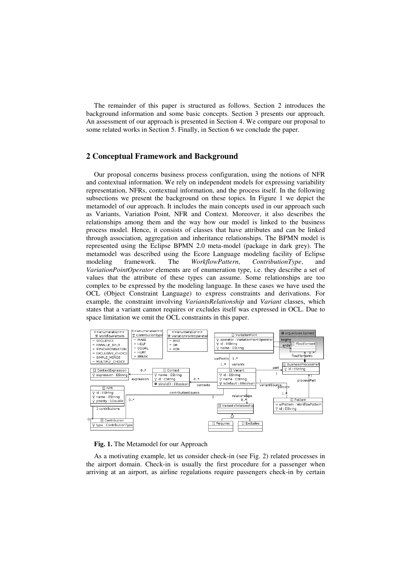The remainder of this paper is structured as follows. Section 2 introduces the background information and some basic concepts. Section 3 presents our approach. An assessment of our approach is presented in Section 4. We compare our proposal to some related works in Section 5. Finally, in Section 6 we conclude the paper.

## **2 Conceptual Framework ual Framework and Background**

Our proposal concerns business process configuration, using the notions of NFR and contextual information. We rely on independent models for expressing variability representation, NFRs, contextual information, and the process itself. In the following subsections we present the background on these topics. In Figure 1 we depict metamodel of our approach. It includes the main concepts used in our approach such metamodel of our approach. It includes the main concepts used in our approach such as Variants, Variation Point, NFR and Context. Moreover, it also describes the relationships among them and the way how our model is linked to the business process model. Hence, it consists of classes that have attributes and can be linked through association, aggregation and inheritance relationships. The BPMN model is represented using the Eclipse BPMN 2.0 meta-model (package in dark grey). The metamodel was described using the Ecore Language modeling facility of Eclipse modeling framework. The VariationPointOperator elements are of enumeration type, i.e. they describe a set of values that the attribute of these types can assume. Some relationships are too complex to be expressed by the modeling language. In these cases we have used the OCL (Object Constraint Language) to express constraints and derivations. For example, the constraint involving VariantsRelationship and Variant classes, which states that a variant cannot requires or excludes itself was expressed in OCL. Due to space limitation we omit the OCL constraints in this paper. *WorkflowPattern*, *ContributionType* Solician Concepts. Section 3 presents our approach.<br>
Section 4. We compare our proposal to<br>
Ly, in Section 6 we conclude the paper.<br> **Background**<br>
Solician Concepts of NFR<br>
In independent models for expressing variability<br> , and



Fig. 1. The Metamodel for our Approach

As a motivating example, let us consider check-in (see Fig. 2) related processes in the airport domain. Check-in is usually the first procedure for a passenger when arriving at an airport, as airline regulations require passengers check-in by certain arriving at an airport, as airline regulations require passengers check-in by certain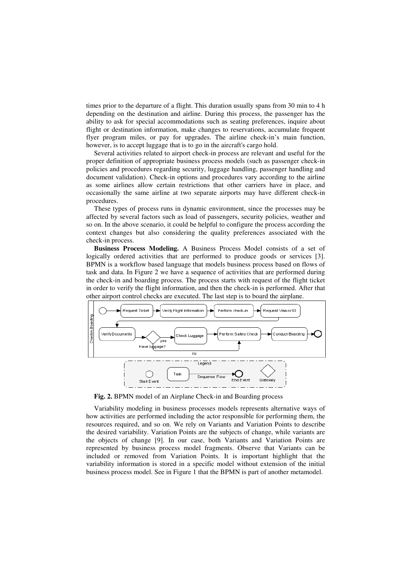times prior to the departure of a flight. This duration usually spans from 30 min to 4 h depending on the destination and airline. During this process, the passenger has the ability to ask for special accommodations such as seating preferences, inquire about flight or destination information, make changes to reservations, accumulate frequent flyer program miles, or pay for upgrades. The airline check-in's main function, however, is to accept luggage that is to go in the aircraft's cargo hold.

Several activities related to airport check-in process are relevant and useful for the proper definition of appropriate business process models (such as passenger check-in policies and procedures regarding security, luggage handling, passenger handling and document validation). Check-in options and procedures vary according to the airline as some airlines allow certain restrictions that other carriers have in place, and occasionally the same airline at two separate airports may have different check-in procedures.

These types of process runs in dynamic environment, since the processes may be affected by several factors such as load of passengers, security policies, weather and so on. In the above scenario, it could be helpful to configure the process according the context changes but also considering the quality preferences associated with the check-in process.

**Business Process Modeling.** A Business Process Model consists of a set of logically ordered activities that are performed to produce goods or services [3]. BPMN is a workflow based language that models business process based on flows of task and data. In Figure 2 we have a sequence of activities that are performed during the check-in and boarding process. The process starts with request of the flight ticket in order to verify the flight information, and then the check-in is performed. After that other airport control checks are executed. The last step is to board the airplane.



**Fig. 2.** BPMN model of an Airplane Check-in and Boarding process

Variability modeling in business processes models represents alternative ways of how activities are performed including the actor responsible for performing them, the resources required, and so on. We rely on Variants and Variation Points to describe the desired variability. Variation Points are the subjects of change, while variants are the objects of change [9]. In our case, both Variants and Variation Points are represented by business process model fragments. Observe that Variants can be included or removed from Variation Points. It is important highlight that the variability information is stored in a specific model without extension of the initial business process model. See in Figure 1 that the BPMN is part of another metamodel.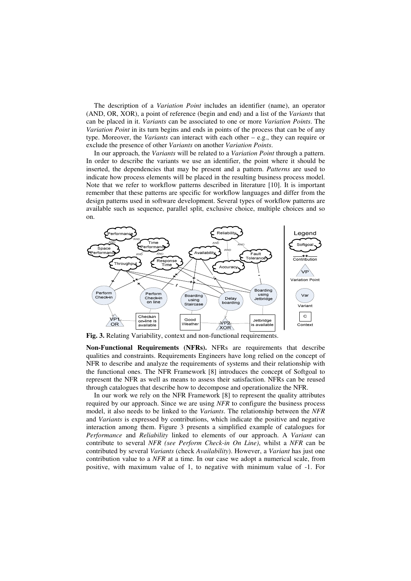The description of a *Variation Point* includes an identifier (name), an operator (AND, OR, XOR), a point of reference (begin and end) and a list of the *Variants* that can be placed in it. *Variants* can be associated to one or more *Variation Points*. The *Variation Point* in its turn begins and ends in points of the process that can be of any type. Moreover, the *Variants* can interact with each other – e.g., they can require or exclude the presence of other *Variants* on another *Variation Points*.

In our approach, the *Variants* will be related to a *Variation Point* through a pattern. In order to describe the variants we use an identifier, the point where it should be inserted, the dependencies that may be present and a pattern. *Patterns* are used to indicate how process elements will be placed in the resulting business process model. Note that we refer to workflow patterns described in literature [10]. It is important remember that these patterns are specific for workflow languages and differ from the design patterns used in software development. Several types of workflow patterns are available such as sequence, parallel split, exclusive choice, multiple choices and so on.



**Fig. 3.** Relating Variability, context and non-functional requirements.

**Non-Functional Requirements (NFRs).** NFRs are requirements that describe qualities and constraints. Requirements Engineers have long relied on the concept of NFR to describe and analyze the requirements of systems and their relationship with the functional ones. The NFR Framework [8] introduces the concept of Softgoal to represent the NFR as well as means to assess their satisfaction. NFRs can be reused through catalogues that describe how to decompose and operationalize the NFR.

In our work we rely on the NFR Framework [8] to represent the quality attributes required by our approach. Since we are using *NFR* to configure the business process model, it also needs to be linked to the *Variants*. The relationship between the *NFR* and *Variants* is expressed by contributions, which indicate the positive and negative interaction among them. Figure 3 presents a simplified example of catalogues for *Performance* and *Reliability* linked to elements of our approach. A *Variant* can contribute to several *NFR (see Perform Check-in On Line)*, whilst a *NFR* can be contributed by several *Variants* (check *Availability*). However, a *Variant* has just one contribution value to a *NFR* at a time. In our case we adopt a numerical scale, from positive, with maximum value of 1, to negative with minimum value of -1. For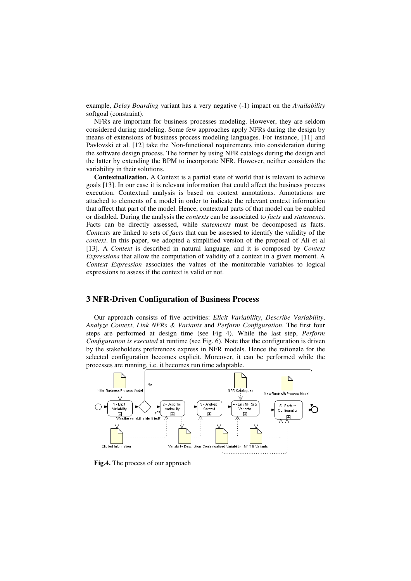example, *Delay Boarding* variant has a very negative (-1) impact on the *Availability* softgoal (constraint).

NFRs are important for business processes modeling. However, they are seldom considered during modeling. Some few approaches apply NFRs during the design by means of extensions of business process modeling languages. For instance, [11] and Pavlovski et al. [12] take the Non-functional requirements into consideration during the software design process. The former by using NFR catalogs during the design and the latter by extending the BPM to incorporate NFR. However, neither considers the variability in their solutions.

**Contextualization.** A Context is a partial state of world that is relevant to achieve goals [13]. In our case it is relevant information that could affect the business process execution. Contextual analysis is based on context annotations. Annotations are attached to elements of a model in order to indicate the relevant context information that affect that part of the model. Hence, contextual parts of that model can be enabled or disabled. During the analysis the *contexts* can be associated to *facts* and *statements*. Facts can be directly assessed, while *statements* must be decomposed as facts. *Contexts* are linked to sets of *facts* that can be assessed to identify the validity of the *context*. In this paper, we adopted a simplified version of the proposal of Ali et al [13]. A *Context* is described in natural language, and it is composed by *Context Expressions* that allow the computation of validity of a context in a given moment. A *Context Expression* associates the values of the monitorable variables to logical expressions to assess if the context is valid or not.

# **3 NFR-Driven Configuration of Business Process**

Our approach consists of five activities: *Elicit Variability*, *Describe Variability*, *Analyze Context*, *Link NFRs & Variants* and *Perform Configuration*. The first four steps are performed at design time (see Fig 4). While the last step, *Perform Configuration is executed* at runtime (see Fig. 6). Note that the configuration is driven by the stakeholders preferences express in NFR models. Hence the rationale for the selected configuration becomes explicit. Moreover, it can be performed while the processes are running, i.e. it becomes run time adaptable.



**Fig.4.** The process of our approach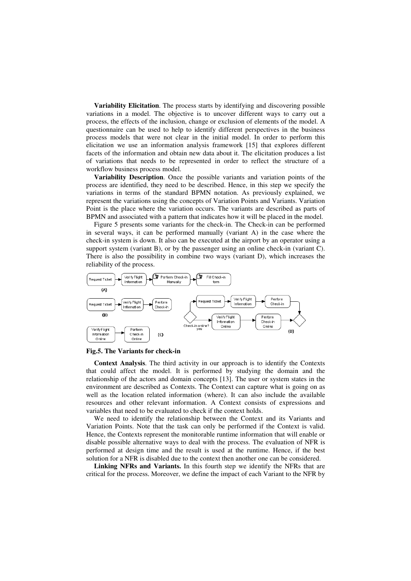**Variability Elicitation** . The process starts by identifying and discovering possible variations in a model. The objective is to uncover different ways to carry out a process, the effects of the inclusion, change or exclusion of elements of the model. A questionnaire can be used to help to identify different perspectives in the business process models that were not clear in the initial model. In order to perform this elicitation we use an information analysis framework [15] that explores different facets of the information and obtain new data about it. The elicitation produces a list of variations that needs to be represented in order to reflect the structure of a workflow business process process model.

**Variability Description** . Once the possible variants and variation points of the process are identified, they need to be described. Hence, in this step we specify the variations in terms of the standard BPMN notation. As previously explained, we represent the variations using the concepts of Variation Points and Variants. Variation Point is the place where the variation occurs. The variants are described as parts of BPMN and associated with a pattern that indicates how it will be placed in the model. re identified, they need to be described. Hence, in this step we spin terms of the standard BPMN notation. As previously explaint the variations using the concepts of Variation Points and Variants.

Figure 5 presents some variants for the check-in. The Check-in can be performed in several ways, it can be performed manually (variant A) in the case where the check-in system is down. It also can be executed at the airport by an operator using a support system (variant B), or by the passenger using an online check-in (variant C) There is also the possibility in combine two ways (variant D), which increases the reliability of the process. in can be performed<br>the case where the<br> $\gamma$  an operator using a<br>check-in (variant C).



Fig.5. The Variants for check-in

**Context Analysis**. The third activity in our approach is to identify the Contexts that could affect the model. It is performed by studying the domain and the relationship of the actors and domain concepts [13]. The user or system states in the environment are described as Contexts. The Context can capture what is going on as well as the location related information (where). It can also include the available resources and other relevant information. A Context consists of expressions and variables that need to be evaluated to check if the context holds. ationship of the actors and domain concepts [13]. The user or system states in the vironment are described as Contexts. The Context can capture what is going on as II as the location related information (where). It can als

Variation Points. Note that the task can only be performed if the Context is valid. Hence, the Contexts represent the monitorable runtime information that will enable or disable possible alternative ways to deal with the process. The evaluation of NFR is performed at design time and the result is used at the runtime. Hence, if the best solution for a NFR is disabled due to the context then another one can be considered.

Linking NFRs and Variants. In this fourth step we identify the NFRs that are critical for the process. Moreover, we define the impact of each Variant to the NFR by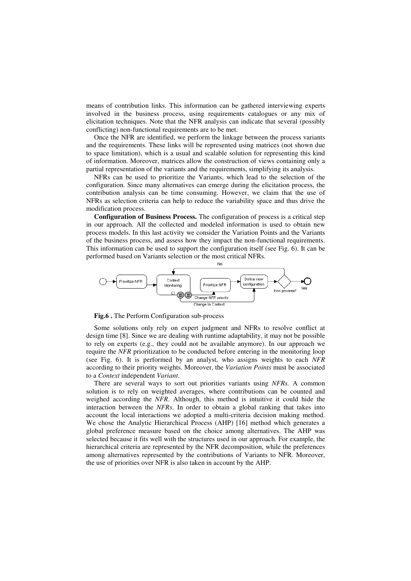means of contribution links. This information can be gathered interviewing experts involved in the business process, using requirements catalogues or any mix of elicitation techniques. Note that the NFR analysis can indicate that several (possibly conflicting) non-functional requirements are to be met.

Once the NFR are identified, we perform the linkage between the process variants and the requirements. These links will be represented using matrices (not shown due to space limitation), which is a usual and scalable solution for representing this kind of information. Moreover, matrices allow the construction of views containing only a partial representation of the variants and the requirements, simplifying its analysis.

NFRs can be used to prioritize the Variants, which lead to the selection of the configuration. Since many alternatives can emerge during the elicitation process, the contribution analysis can be time consuming. However, we claim that the use of NFRs as selection criteria can help to reduce the variability space and thus drive the modification process.

**Configuration of Business Process.** The configuration of process is a critical step in our approach. All the collected and modeled information is used to obtain new process models. In this last activity we consider the Variation Points and the Variants of the business process, and assess how they impact the non-functional requirements. This information can be used to support the configuration itself (see Fig. 6). It can be performed based on Variants selection or the most critical NFRs.



**Fig.6 .** The Perform Configuration sub-process

Some solutions only rely on expert judgment and NFRs to resolve conflict at design time [8]. Since we are dealing with runtime adaptability, it may not be possible to rely on experts (e.g., they could not be available anymore). In our approach we require the *NFR* prioritization to be conducted before entering in the monitoring loop (see Fig. 6). It is performed by an analyst, who assigns weights to each *NFR* according to their priority weights. Moreover, the *Variation Points* must be associated to a *Context* independent *Variant*.

There are several ways to sort out priorities variants using *NFRs.* A common solution is to rely on weighted averages, where contributions can be counted and weighed according the *NFR*. Although, this method is intuitive it could hide the interaction between the *NFRs*. In order to obtain a global ranking that takes into account the local interactions we adopted a multi-criteria decision making method. We chose the Analytic Hierarchical Process (AHP) [16] method which generates a global preference measure based on the choice among alternatives. The AHP was selected because it fits well with the structures used in our approach. For example, the hierarchical criteria are represented by the NFR decomposition, while the preferences among alternatives represented by the contributions of Variants to NFR. Moreover, the use of priorities over NFR is also taken in account by the AHP.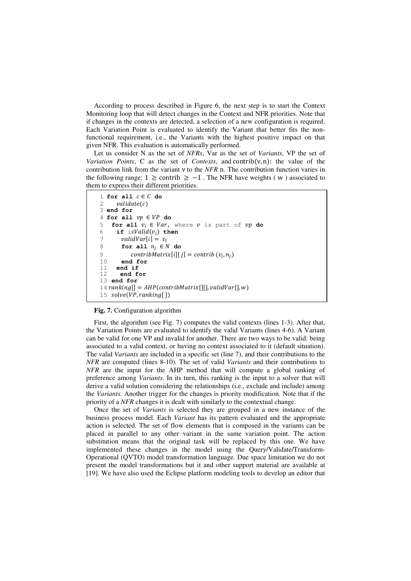According to process described in Figure 6, the next step is to start the Context Monitoring loop that will detect changes in the Context and NFR priorities. Note that if changes in the contexts are detected, a selection of a new configuration is required. Each Variation Point is evaluated to identify the Variant that better fits the nonfunctional requirement, i.e., the Variants with the highest positive impact on that given NFR. This evaluation is automatically performed.

Let us consider N as the set of *NFRs*, Var as the set of *Variants*, VP the set of *Variation Points*, C as the set of *Contexts*, and contrib(v, n): the value of the contribution link from the variant v to the *NFR* n. The contribution function varies in the following range:  $1 \geq$  contrib  $\geq -1$ . The NFR have weights (w) associated to them to express their different priorities.

```
1 for all c \in C do
2 \text{ validate}(c)3 end for 
4 for all vp \in VP do
5 for all v_i \in Var, where v is part of vp do
6 if is Vali d(v_i) then<br>
\eta vali dVar[i] = v_i7 validVar[i] = v_i<br>8 for all n_i \in N8 for all n_j \in N do
9 contribMatrix[i][j] = contrib (v_i, n_j)10 end for
11 end if 
12 end for 
13 end for 
14 ranking[] = AHP(contribMatrix[][], validVar[], w)15 solve(VP, ranking[])
```
#### **Fig. 7.** Configuration algorithm

First, the algorithm (see Fig. 7) computes the valid contexts (lines 1-3). After that, the Variation Points are evaluated to identify the valid Variants (lines 4-6). A Variant can be valid for one VP and invalid for another. There are two ways to be valid: being associated to a valid context, or having no context associated to it (default situation). The valid *Variants* are included in a specific set (line 7), and their contributions to the *NFR* are computed (lines 8-10). The set of valid *Variants* and their contributions to *NFR* are the input for the AHP method that will compute a global ranking of preference among *Variants*. In its turn, this ranking is the input to a solver that will derive a valid solution considering the relationships (i.e., exclude and include) among the *Variants*. Another trigger for the changes is priority modification. Note that if the priority of a *NFR* changes it is dealt with similarly to the contextual change.

Once the set of *Variants* is selected they are grouped in a new instance of the business process model. Each *Variant* has its pattern evaluated and the appropriate action is selected. The set of flow elements that is composed in the variants can be placed in parallel to any other variant in the same variation point. The action substitution means that the original task will be replaced by this one. We have implemented these changes in the model using the Query/Validate/Transform-Operational (QVTO) model transformation language. Due space limitation we do not present the model transformations but it and other support material are available at [19]. We have also used the Eclipse platform modeling tools to develop an editor that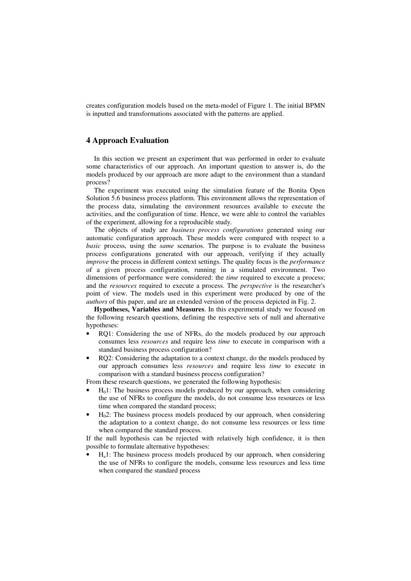creates configuration models based on the meta-model of Figure 1. The initial BPMN is inputted and transformations associated with the patterns are applied.

# **4 Approach Evaluation**

In this section we present an experiment that was performed in order to evaluate some characteristics of our approach. An important question to answer is, do the models produced by our approach are more adapt to the environment than a standard process?

The experiment was executed using the simulation feature of the Bonita Open Solution 5.6 business process platform. This environment allows the representation of the process data, simulating the environment resources available to execute the activities, and the configuration of time. Hence, we were able to control the variables of the experiment, allowing for a reproducible study.

The objects of study are *business process configurations* generated using our automatic configuration approach. These models were compared with respect to a *basic* process, using the *same* scenarios. The purpose is to evaluate the business process configurations generated with our approach, verifying if they actually *improve* the process in different context settings. The quality focus is the *performance* of a given process configuration, running in a simulated environment. Two dimensions of performance were considered: the *time* required to execute a process; and the *resources* required to execute a process. The *perspective* is the researcher's point of view. The models used in this experiment were produced by one of the *authors* of this paper, and are an extended version of the process depicted in Fig. 2.

**Hypotheses, Variables and Measures**. In this experimental study we focused on the following research questions, defining the respective sets of null and alternative hypotheses:

- RQ1: Considering the use of NFRs, do the models produced by our approach consumes less *resources* and require less *time* to execute in comparison with a standard business process configuration?
- RQ2: Considering the adaptation to a context change, do the models produced by our approach consumes less *resources* and require less *time* to execute in comparison with a standard business process configuration?

From these research questions, we generated the following hypothesis:

- $H<sub>0</sub>1$ : The business process models produced by our approach, when considering the use of NFRs to configure the models, do not consume less resources or less time when compared the standard process;
- $H<sub>0</sub>2$ : The business process models produced by our approach, when considering the adaptation to a context change, do not consume less resources or less time when compared the standard process.

If the null hypothesis can be rejected with relatively high confidence, it is then possible to formulate alternative hypotheses:

 $H_a$ 1: The business process models produced by our approach, when considering the use of NFRs to configure the models, consume less resources and less time when compared the standard process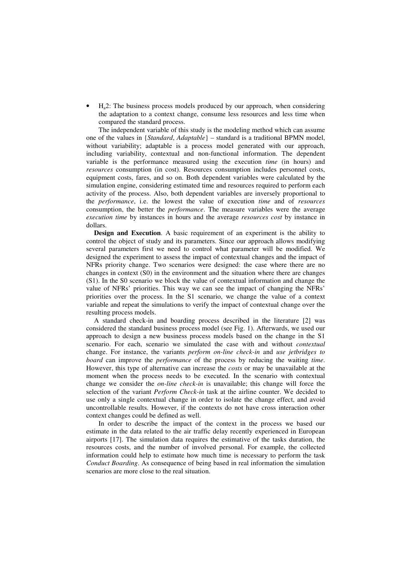$H_a$ 2: The business process models produced by our approach, when considering the adaptation to a context change, consume less resources and less time when compared the standard process.

The independent variable of this study is the modeling method which can assume one of the values in {*Standard*, *Adaptable*} – standard is a traditional BPMN model, without variability; adaptable is a process model generated with our approach, including variability, contextual and non-functional information. The dependent variable is the performance measured using the execution *time* (in hours) and *resources* consumption (in cost). Resources consumption includes personnel costs, equipment costs, fares, and so on. Both dependent variables were calculated by the simulation engine, considering estimated time and resources required to perform each activity of the process. Also, both dependent variables are inversely proportional to the *performance*, i.e. the lowest the value of execution *time* and of *resources* consumption, the better the *performance*. The measure variables were the average *execution time* by instances in hours and the average *resources cost* by instance in dollars.

**Design and Execution**. A basic requirement of an experiment is the ability to control the object of study and its parameters. Since our approach allows modifying several parameters first we need to control what parameter will be modified. We designed the experiment to assess the impact of contextual changes and the impact of NFRs priority change. Two scenarios were designed: the case where there are no changes in context (S0) in the environment and the situation where there are changes (S1). In the S0 scenario we block the value of contextual information and change the value of NFRs' priorities. This way we can see the impact of changing the NFRs' priorities over the process. In the S1 scenario, we change the value of a context variable and repeat the simulations to verify the impact of contextual change over the resulting process models.

A standard check-in and boarding process described in the literature [2] was considered the standard business process model (see Fig. 1). Afterwards, we used our approach to design a new business process models based on the change in the S1 scenario. For each, scenario we simulated the case with and without *contextual* change. For instance, the variants *perform on-line check-in* and *use jetbridges to board* can improve the *performance* of the process by reducing the waiting *time*. However, this type of alternative can increase the *costs* or may be unavailable at the moment when the process needs to be executed. In the scenario with contextual change we consider the *on-line check-in* is unavailable; this change will force the selection of the variant *Perform Check-in* task at the airline counter. We decided to use only a single contextual change in order to isolate the change effect, and avoid uncontrollable results. However, if the contexts do not have cross interaction other context changes could be defined as well.

In order to describe the impact of the context in the process we based our estimate in the data related to the air traffic delay recently experienced in European airports [17]. The simulation data requires the estimative of the tasks duration, the resources costs, and the number of involved personal. For example, the collected information could help to estimate how much time is necessary to perform the task *Conduct Boarding*. As consequence of being based in real information the simulation scenarios are more close to the real situation.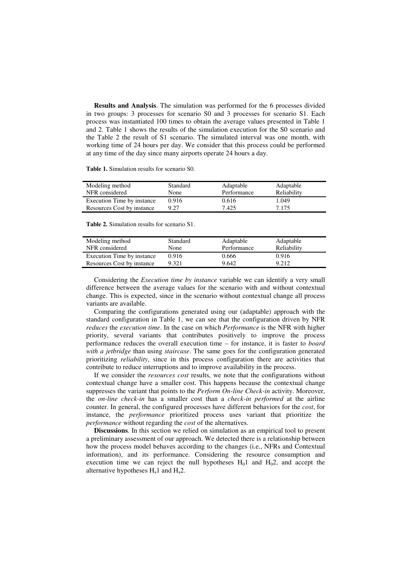**Results and Analysis**. The simulation was performed for the 6 processes divided in two groups: 3 processes for scenario S0 and 3 processes for scenario S1. Each process was instantiated 100 times to obtain the average values presented in Table 1 and 2. Table 1 shows the results of the simulation execution for the S0 scenario and the Table 2 the result of S1 scenario. The simulated interval was one month, with working time of 24 hours per day. We consider that this process could be performed at any time of the day since many airports operate 24 hours a day.

**Table 1.** Simulation results for scenario S0.

| Modeling method            | Standard | Adaptable   | Adaptable   |  |
|----------------------------|----------|-------------|-------------|--|
| NFR considered             | None     | Performance | Reliability |  |
| Execution Time by instance | 0.916    | 0.616       | 1.049       |  |
| Resources Cost by instance | 9.27     | 7.425       | 7.175       |  |

**Table 2.** Simulation results for scenario S1.

| Modeling method            | Standard | Adaptable   | Adaptable   |
|----------------------------|----------|-------------|-------------|
| NFR considered             | None     | Performance | Reliability |
| Execution Time by instance | 0.916    | 0.666       | 0.916       |
| Resources Cost by instance | 9.321    | 9.642       | 9.212       |

Considering the *Execution time by instance* variable we can identify a very small difference between the average values for the scenario with and without contextual change. This is expected, since in the scenario without contextual change all process variants are available.

Comparing the configurations generated using our (adaptable) approach with the standard configuration in Table 1, we can see that the configuration driven by NFR *reduces* the *execution time*. In the case on which *Performance* is the NFR with higher priority, several variants that contributes positively to improve the process performance reduces the overall execution time – for instance, it is faster to *board with a jetbridge* than using *staircase*. The same goes for the configuration generated prioritizing *reliability*, since in this process configuration there are activities that contribute to reduce interruptions and to improve availability in the process.

If we consider the *resources cost* results, we note that the configurations without contextual change have a smaller cost. This happens because the contextual change suppresses the variant that points to the *Perform On-line Check-in* activity. Moreover, the *on-line check-in* has a smaller cost than a *check-in performed* at the airline counter. In general, the configured processes have different behaviors for the *cost*, for instance, the *performance* prioritized process uses variant that prioritize the *performance* without regarding the *cost* of the alternatives.

**Discussions**. In this section we relied on simulation as an empirical tool to present a preliminary assessment of our approach. We detected there is a relationship between how the process model behaves according to the changes (i.e., NFRs and Contextual information), and its performance. Considering the resource consumption and execution time we can reject the null hypotheses  $H_0$ 1 and  $H_0$ 2, and accept the alternative hypotheses  $H_a1$  and  $H_a2$ .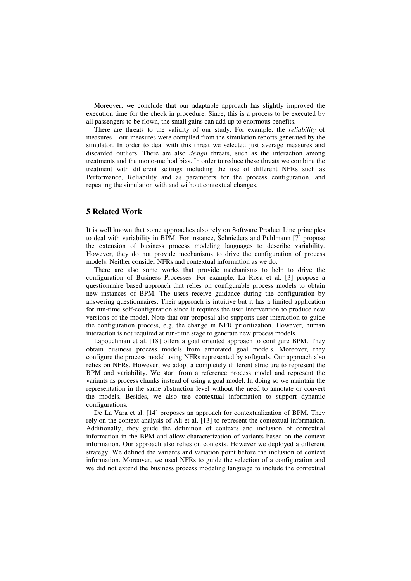Moreover, we conclude that our adaptable approach has slightly improved the execution time for the check in procedure. Since, this is a process to be executed by all passengers to be flown, the small gains can add up to enormous benefits.

There are threats to the validity of our study. For example, the *reliability* of measures – our measures were compiled from the simulation reports generated by the simulator. In order to deal with this threat we selected just average measures and discarded outliers. There are also *design* threats, such as the interaction among treatments and the mono-method bias. In order to reduce these threats we combine the treatment with different settings including the use of different NFRs such as Performance, Reliability and as parameters for the process configuration, and repeating the simulation with and without contextual changes.

## **5 Related Work**

It is well known that some approaches also rely on Software Product Line principles to deal with variability in BPM. For instance, Schnieders and Puhlmann [7] propose the extension of business process modeling languages to describe variability. However, they do not provide mechanisms to drive the configuration of process models. Neither consider NFRs and contextual information as we do.

There are also some works that provide mechanisms to help to drive the configuration of Business Processes. For example, La Rosa et al. [3] propose a questionnaire based approach that relies on configurable process models to obtain new instances of BPM. The users receive guidance during the configuration by answering questionnaires. Their approach is intuitive but it has a limited application for run-time self-configuration since it requires the user intervention to produce new versions of the model. Note that our proposal also supports user interaction to guide the configuration process, e.g. the change in NFR prioritization. However, human interaction is not required at run-time stage to generate new process models.

Lapouchnian et al. [18] offers a goal oriented approach to configure BPM. They obtain business process models from annotated goal models. Moreover, they configure the process model using NFRs represented by softgoals. Our approach also relies on NFRs. However, we adopt a completely different structure to represent the BPM and variability. We start from a reference process model and represent the variants as process chunks instead of using a goal model. In doing so we maintain the representation in the same abstraction level without the need to annotate or convert the models. Besides, we also use contextual information to support dynamic configurations.

De La Vara et al. [14] proposes an approach for contextualization of BPM. They rely on the context analysis of Ali et al. [13] to represent the contextual information. Additionally, they guide the definition of contexts and inclusion of contextual information in the BPM and allow characterization of variants based on the context information. Our approach also relies on contexts. However we deployed a different strategy. We defined the variants and variation point before the inclusion of context information. Moreover, we used NFRs to guide the selection of a configuration and we did not extend the business process modeling language to include the contextual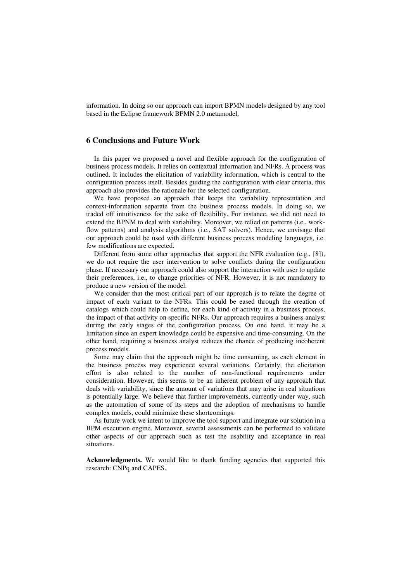information. In doing so our approach can import BPMN models designed by any tool based in the Eclipse framework BPMN 2.0 metamodel.

# **6 Conclusions and Future Work**

In this paper we proposed a novel and flexible approach for the configuration of business process models. It relies on contextual information and NFRs. A process was outlined. It includes the elicitation of variability information, which is central to the configuration process itself. Besides guiding the configuration with clear criteria, this approach also provides the rationale for the selected configuration.

We have proposed an approach that keeps the variability representation and context-information separate from the business process models. In doing so, we traded off intuitiveness for the sake of flexibility. For instance, we did not need to extend the BPNM to deal with variability. Moreover, we relied on patterns (i.e., workflow patterns) and analysis algorithms (i.e., SAT solvers). Hence, we envisage that our approach could be used with different business process modeling languages, i.e. few modifications are expected.

Different from some other approaches that support the NFR evaluation (e.g., [8]), we do not require the user intervention to solve conflicts during the configuration phase. If necessary our approach could also support the interaction with user to update their preferences, i.e., to change priorities of NFR. However, it is not mandatory to produce a new version of the model.

We consider that the most critical part of our approach is to relate the degree of impact of each variant to the NFRs. This could be eased through the creation of catalogs which could help to define, for each kind of activity in a business process, the impact of that activity on specific NFRs. Our approach requires a business analyst during the early stages of the configuration process. On one hand, it may be a limitation since an expert knowledge could be expensive and time-consuming. On the other hand, requiring a business analyst reduces the chance of producing incoherent process models.

Some may claim that the approach might be time consuming, as each element in the business process may experience several variations. Certainly, the elicitation effort is also related to the number of non-functional requirements under consideration. However, this seems to be an inherent problem of any approach that deals with variability, since the amount of variations that may arise in real situations is potentially large. We believe that further improvements, currently under way, such as the automation of some of its steps and the adoption of mechanisms to handle complex models, could minimize these shortcomings.

As future work we intent to improve the tool support and integrate our solution in a BPM execution engine. Moreover, several assessments can be performed to validate other aspects of our approach such as test the usability and acceptance in real situations.

**Acknowledgments.** We would like to thank funding agencies that supported this research: CNPq and CAPES.